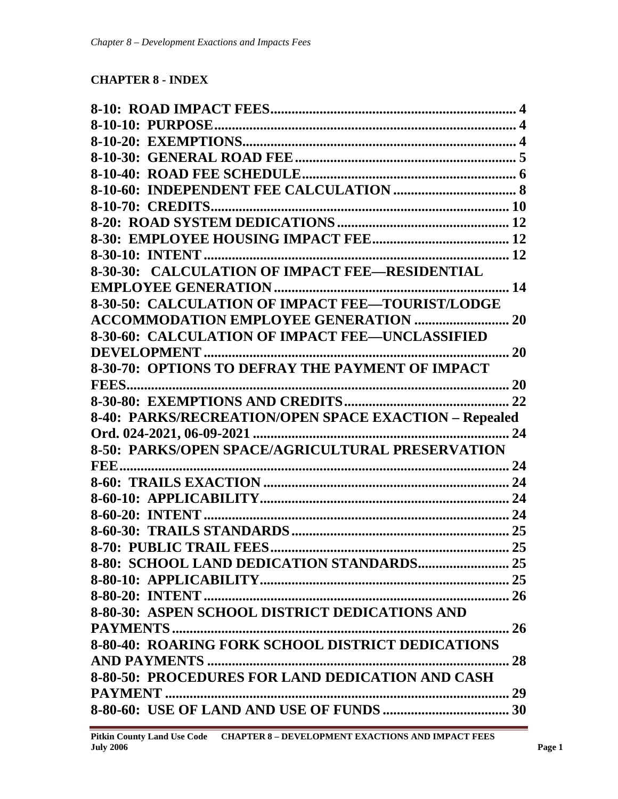# **CHAPTER 8 - INDEX**

| 8-30-50: CALCULATION OF IMPACT FEE-TOURIST/LODGE      |  |
|-------------------------------------------------------|--|
| <b>ACCOMMODATION EMPLOYEE GENERATION  20</b>          |  |
| 8-30-60: CALCULATION OF IMPACT FEE-UNCLASSIFIED       |  |
| 20                                                    |  |
|                                                       |  |
| <b>FEES.</b>                                          |  |
|                                                       |  |
| 8-40: PARKS/RECREATION/OPEN SPACE EXACTION - Repealed |  |
|                                                       |  |
| 8-50: PARKS/OPEN SPACE/AGRICULTURAL PRESERVATION      |  |
|                                                       |  |
|                                                       |  |
|                                                       |  |
|                                                       |  |
|                                                       |  |
|                                                       |  |
|                                                       |  |
|                                                       |  |
|                                                       |  |
| 8-80-30: ASPEN SCHOOL DISTRICT DEDICATIONS AND        |  |
|                                                       |  |
| 8-80-40: ROARING FORK SCHOOL DISTRICT DEDICATIONS     |  |
|                                                       |  |
| 8-80-50: PROCEDURES FOR LAND DEDICATION AND CASH      |  |
|                                                       |  |
|                                                       |  |
|                                                       |  |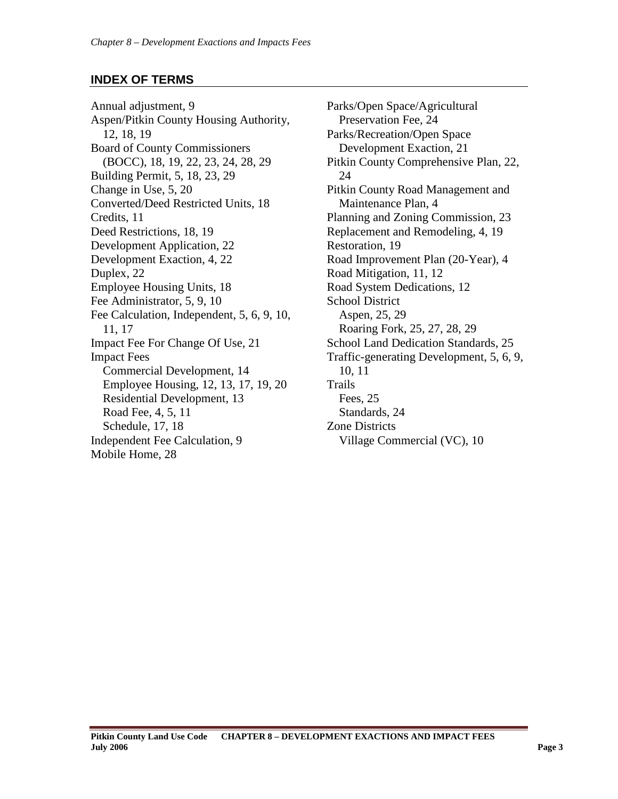# **INDEX OF TERMS**

Annual adjustment, 9 Aspen/Pitkin County Housing Authority, 12, 18, 19 Board of County Commissioners (BOCC), 18, 19, 22, 23, 24, 28, 29 Building Permit, 5, 18, 23, 29 Change in Use, 5, 20 Converted/Deed Restricted Units, 18 Credits, 11 Deed Restrictions, 18, 19 Development Application, 22 Development Exaction, 4, 22 Duplex, 22 Employee Housing Units, 18 Fee Administrator, 5, 9, 10 Fee Calculation, Independent, 5, 6, 9, 10, 11, 17 Impact Fee For Change Of Use, 21 Impact Fees Commercial Development, 14 Employee Housing, 12, 13, 17, 19, 20 Residential Development, 13 Road Fee, 4, 5, 11 Schedule, 17, 18 Independent Fee Calculation, 9 Mobile Home, 28

Parks/Open Space/Agricultural Preservation Fee, 24 Parks/Recreation/Open Space Development Exaction, 21 Pitkin County Comprehensive Plan, 22, 24 Pitkin County Road Management and Maintenance Plan, 4 Planning and Zoning Commission, 23 Replacement and Remodeling, 4, 19 Restoration, 19 Road Improvement Plan (20-Year), 4 Road Mitigation, 11, 12 Road System Dedications, 12 School District Aspen, 25, 29 Roaring Fork, 25, 27, 28, 29 School Land Dedication Standards, 25 Traffic-generating Development, 5, 6, 9, 10, 11 Trails Fees, 25 Standards, 24 Zone Districts Village Commercial (VC), 10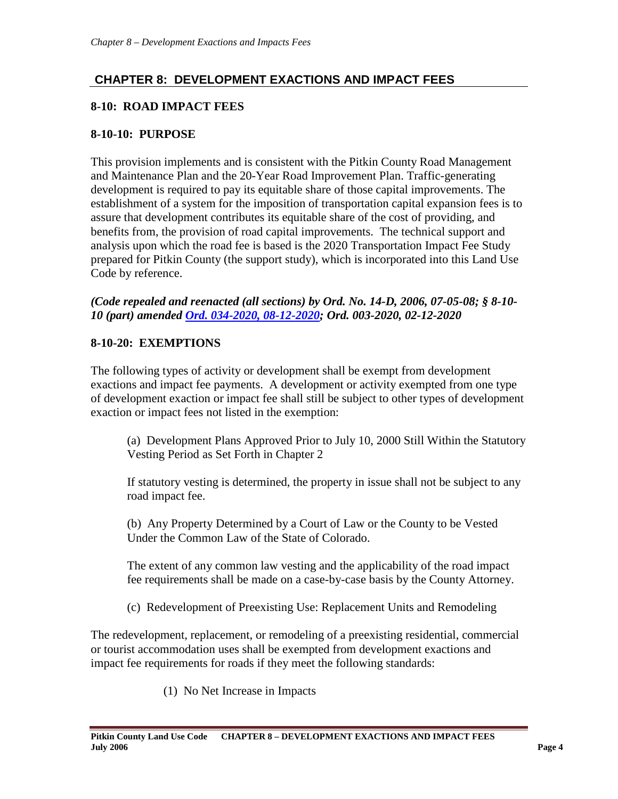# **CHAPTER 8: DEVELOPMENT EXACTIONS AND IMPACT FEES**

# <span id="page-3-0"></span>**8-10: ROAD IMPACT FEES**

### <span id="page-3-1"></span>**8-10-10: PURPOSE**

This provision implements and is consistent with the Pitkin County Road Management and Maintenance Plan and the 20-Year Road Improvement Plan. Traffic-generating development is required to pay its equitable share of those capital improvements. The establishment of a system for the imposition of transportation capital expansion fees is to assure that development contributes its equitable share of the cost of providing, and benefits from, the provision of road capital improvements. The technical support and analysis upon which the road fee is based is the 2020 Transportation Impact Fee Study prepared for Pitkin County (the support study), which is incorporated into this Land Use Code by reference.

*(Code repealed and reenacted (all sections) by Ord. No. 14-D, 2006, 07-05-08; § 8-10- 10 (part) amended [Ord. 034-2020, 08-12-2020;](https://pitkincounty.com/DocumentCenter/View/26305/boccord0342020) Ord. 003-2020, 02-12-2020*

#### <span id="page-3-2"></span>**8-10-20: EXEMPTIONS**

The following types of activity or development shall be exempt from development exactions and impact fee payments. A development or activity exempted from one type of development exaction or impact fee shall still be subject to other types of development exaction or impact fees not listed in the exemption:

(a) Development Plans Approved Prior to July 10, 2000 Still Within the Statutory Vesting Period as Set Forth in Chapter 2

If statutory vesting is determined, the property in issue shall not be subject to any road impact fee.

(b) Any Property Determined by a Court of Law or the County to be Vested Under the Common Law of the State of Colorado.

The extent of any common law vesting and the applicability of the road impact fee requirements shall be made on a case-by-case basis by the County Attorney.

(c) Redevelopment of Preexisting Use: Replacement Units and Remodeling

The redevelopment, replacement, or remodeling of a preexisting residential, commercial or tourist accommodation uses shall be exempted from development exactions and impact fee requirements for roads if they meet the following standards:

(1) No Net Increase in Impacts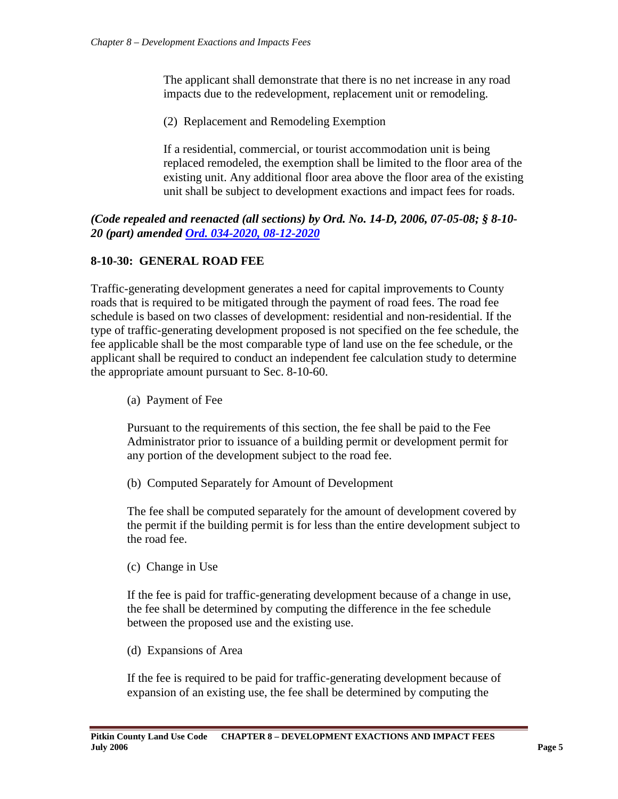The applicant shall demonstrate that there is no net increase in any road impacts due to the redevelopment, replacement unit or remodeling.

(2) Replacement and Remodeling Exemption

If a residential, commercial, or tourist accommodation unit is being replaced remodeled, the exemption shall be limited to the floor area of the existing unit. Any additional floor area above the floor area of the existing unit shall be subject to development exactions and impact fees for roads.

#### *(Code repealed and reenacted (all sections) by Ord. No. 14-D, 2006, 07-05-08; § 8-10- 20 (part) amended [Ord. 034-2020, 08-12-2020](https://pitkincounty.com/DocumentCenter/View/26305/boccord0342020)*

# <span id="page-4-0"></span>**8-10-30: GENERAL ROAD FEE**

Traffic-generating development generates a need for capital improvements to County roads that is required to be mitigated through the payment of road fees. The road fee schedule is based on two classes of development: residential and non-residential. If the type of traffic-generating development proposed is not specified on the fee schedule, the fee applicable shall be the most comparable type of land use on the fee schedule, or the applicant shall be required to conduct an independent fee calculation study to determine the appropriate amount pursuant to Sec. 8-10-60.

(a) Payment of Fee

Pursuant to the requirements of this section, the fee shall be paid to the Fee Administrator prior to issuance of a building permit or development permit for any portion of the development subject to the road fee.

(b) Computed Separately for Amount of Development

The fee shall be computed separately for the amount of development covered by the permit if the building permit is for less than the entire development subject to the road fee.

(c) Change in Use

If the fee is paid for traffic-generating development because of a change in use, the fee shall be determined by computing the difference in the fee schedule between the proposed use and the existing use.

(d) Expansions of Area

If the fee is required to be paid for traffic-generating development because of expansion of an existing use, the fee shall be determined by computing the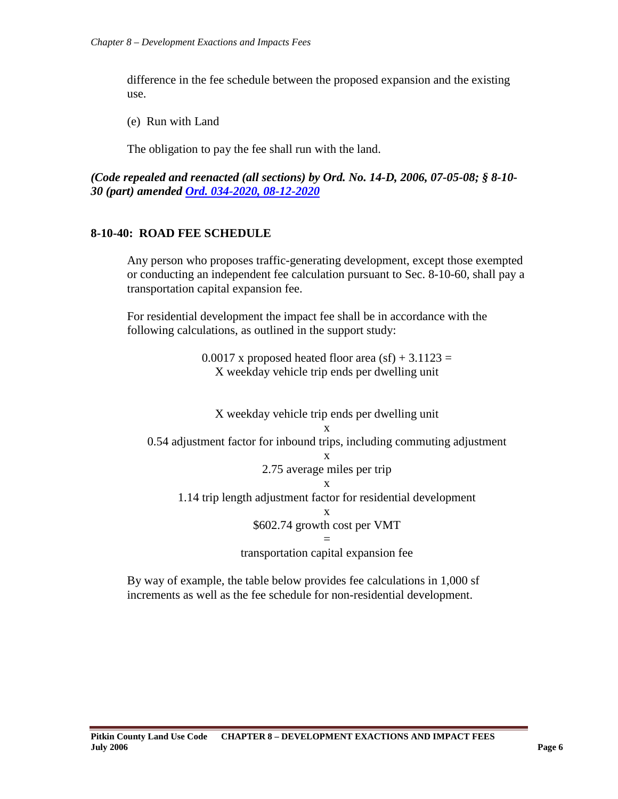difference in the fee schedule between the proposed expansion and the existing use.

(e) Run with Land

The obligation to pay the fee shall run with the land.

*(Code repealed and reenacted (all sections) by Ord. No. 14-D, 2006, 07-05-08; § 8-10- 30 (part) amended [Ord. 034-2020, 08-12-2020](https://pitkincounty.com/DocumentCenter/View/26305/boccord0342020)*

#### <span id="page-5-0"></span>**8-10-40: ROAD FEE SCHEDULE**

Any person who proposes traffic-generating development, except those exempted or conducting an independent fee calculation pursuant to Sec. 8-10-60, shall pay a transportation capital expansion fee.

For residential development the impact fee shall be in accordance with the following calculations, as outlined in the support study:

> $0.0017$  x proposed heated floor area (sf) + 3.1123 = X weekday vehicle trip ends per dwelling unit



By way of example, the table below provides fee calculations in 1,000 sf increments as well as the fee schedule for non-residential development.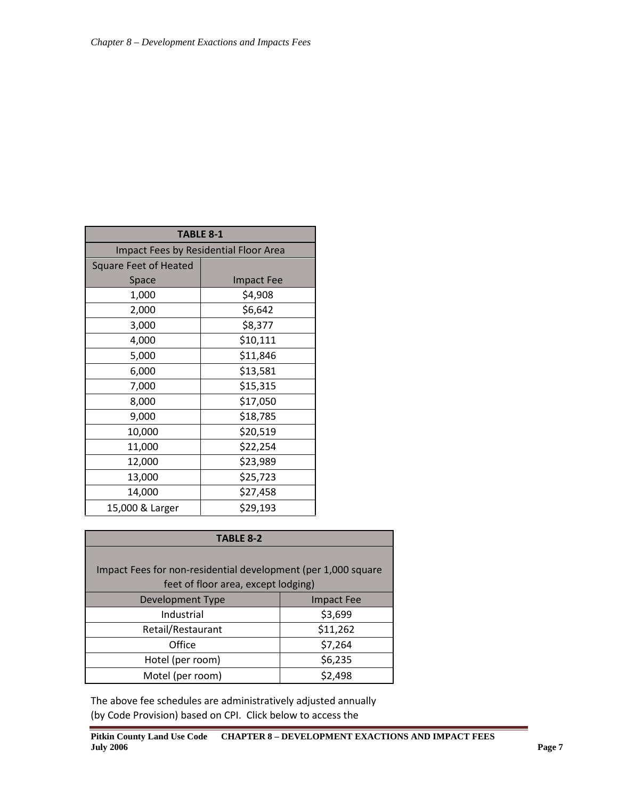| <b>TABLE 8-1</b>                      |                   |  |  |  |
|---------------------------------------|-------------------|--|--|--|
| Impact Fees by Residential Floor Area |                   |  |  |  |
| <b>Square Feet of Heated</b>          |                   |  |  |  |
| Space                                 | <b>Impact Fee</b> |  |  |  |
| 1,000                                 | \$4,908           |  |  |  |
| 2,000                                 | \$6,642           |  |  |  |
| 3,000                                 | \$8,377           |  |  |  |
| 4,000                                 | \$10,111          |  |  |  |
| 5,000                                 | \$11,846          |  |  |  |
| 6,000                                 | \$13,581          |  |  |  |
| 7,000                                 | \$15,315          |  |  |  |
| 8,000                                 | \$17,050          |  |  |  |
| 9,000                                 | \$18,785          |  |  |  |
| 10,000                                | \$20,519          |  |  |  |
| 11,000                                | \$22,254          |  |  |  |
| 12,000                                | \$23,989          |  |  |  |
| 13,000                                | \$25,723          |  |  |  |
| 14,000                                | \$27,458          |  |  |  |
| 15,000 & Larger                       | \$29,193          |  |  |  |

| <b>TABLE 8-2</b>                                                                                     |          |  |  |  |
|------------------------------------------------------------------------------------------------------|----------|--|--|--|
| Impact Fees for non-residential development (per 1,000 square<br>feet of floor area, except lodging) |          |  |  |  |
| Development Type<br><b>Impact Fee</b>                                                                |          |  |  |  |
| Industrial                                                                                           | \$3,699  |  |  |  |
| Retail/Restaurant                                                                                    | \$11,262 |  |  |  |
| Office                                                                                               | \$7,264  |  |  |  |
| Hotel (per room)                                                                                     | \$6,235  |  |  |  |
| Motel (per room)                                                                                     | \$2,498  |  |  |  |

The above fee schedules are administratively adjusted annually (by Code Provision) based on CPI. Click below to access the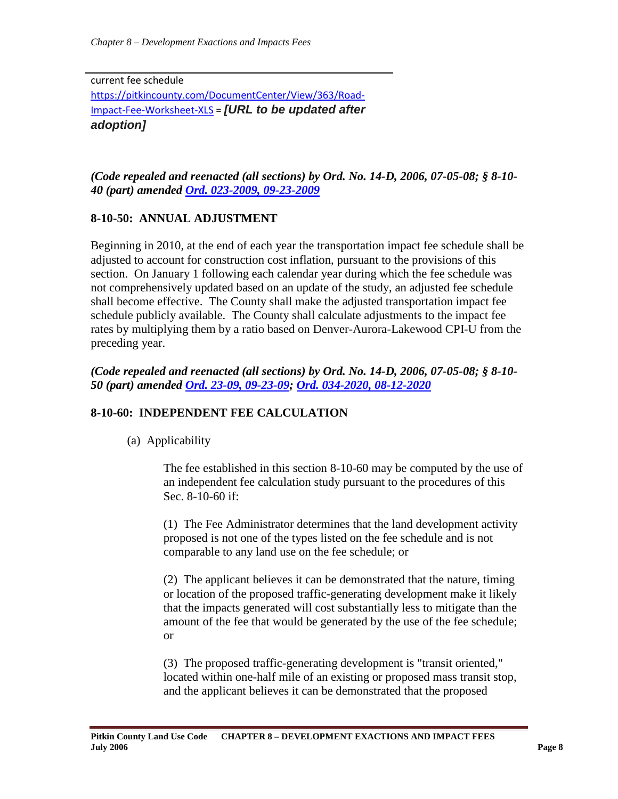current fee schedule [https://pitkincounty.com/DocumentCenter/View/363/Road-](https://pitkincounty.com/DocumentCenter/View/363/Road-Impact-Fee-Worksheet-XLS)[Impact-Fee-Worksheet-XLS](https://pitkincounty.com/DocumentCenter/View/363/Road-Impact-Fee-Worksheet-XLS) = *[URL to be updated after adoption]*

*(Code repealed and reenacted (all sections) by Ord. No. 14-D, 2006, 07-05-08; § 8-10- 40 (part) amended [Ord. 023-2009, 09-23-2009](http://pitkincounty.com/DocumentCenter/View/8260)*

# **8-10-50: ANNUAL ADJUSTMENT**

Beginning in 2010, at the end of each year the transportation impact fee schedule shall be adjusted to account for construction cost inflation, pursuant to the provisions of this section. On January 1 following each calendar year during which the fee schedule was not comprehensively updated based on an update of the study, an adjusted fee schedule shall become effective. The County shall make the adjusted transportation impact fee schedule publicly available. The County shall calculate adjustments to the impact fee rates by multiplying them by a ratio based on Denver-Aurora-Lakewood CPI-U from the preceding year.

*(Code repealed and reenacted (all sections) by Ord. No. 14-D, 2006, 07-05-08; § 8-10- 50 (part) amended [Ord. 23-09, 09-23-09;](http://pitkincounty.com/DocumentCenter/View/8260) [Ord. 034-2020, 08-12-2020](https://pitkincounty.com/DocumentCenter/View/26305/boccord0342020)*

# <span id="page-7-0"></span>**8-10-60: INDEPENDENT FEE CALCULATION**

(a) Applicability

The fee established in this section 8-10-60 may be computed by the use of an independent fee calculation study pursuant to the procedures of this Sec. 8-10-60 if:

(1) The Fee Administrator determines that the land development activity proposed is not one of the types listed on the fee schedule and is not comparable to any land use on the fee schedule; or

(2) The applicant believes it can be demonstrated that the nature, timing or location of the proposed traffic-generating development make it likely that the impacts generated will cost substantially less to mitigate than the amount of the fee that would be generated by the use of the fee schedule; or

(3) The proposed traffic-generating development is "transit oriented," located within one-half mile of an existing or proposed mass transit stop, and the applicant believes it can be demonstrated that the proposed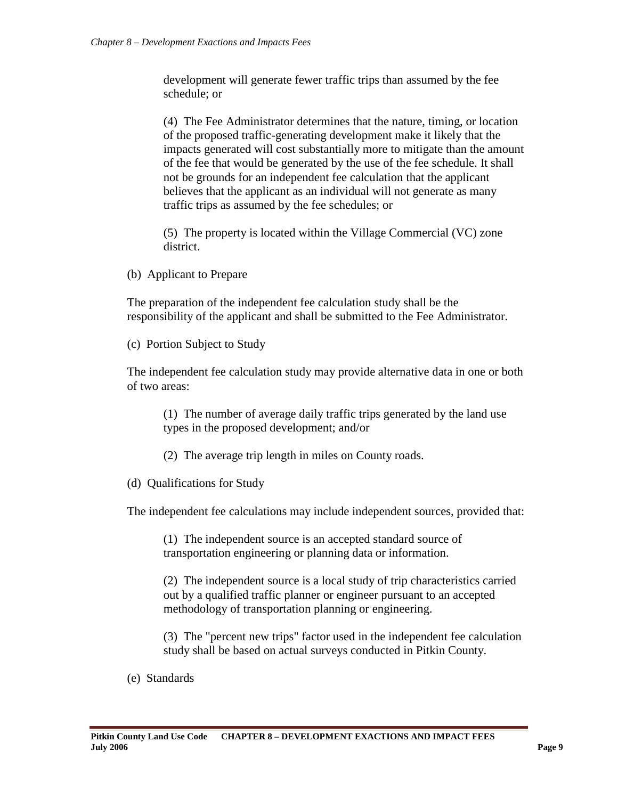development will generate fewer traffic trips than assumed by the fee schedule; or

(4) The Fee Administrator determines that the nature, timing, or location of the proposed traffic-generating development make it likely that the impacts generated will cost substantially more to mitigate than the amount of the fee that would be generated by the use of the fee schedule. It shall not be grounds for an independent fee calculation that the applicant believes that the applicant as an individual will not generate as many traffic trips as assumed by the fee schedules; or

(5) The property is located within the Village Commercial (VC) zone district.

(b) Applicant to Prepare

The preparation of the independent fee calculation study shall be the responsibility of the applicant and shall be submitted to the Fee Administrator.

(c) Portion Subject to Study

The independent fee calculation study may provide alternative data in one or both of two areas:

(1) The number of average daily traffic trips generated by the land use types in the proposed development; and/or

- (2) The average trip length in miles on County roads.
- (d) Qualifications for Study

The independent fee calculations may include independent sources, provided that:

(1) The independent source is an accepted standard source of transportation engineering or planning data or information.

(2) The independent source is a local study of trip characteristics carried out by a qualified traffic planner or engineer pursuant to an accepted methodology of transportation planning or engineering.

(3) The "percent new trips" factor used in the independent fee calculation study shall be based on actual surveys conducted in Pitkin County.

(e) Standards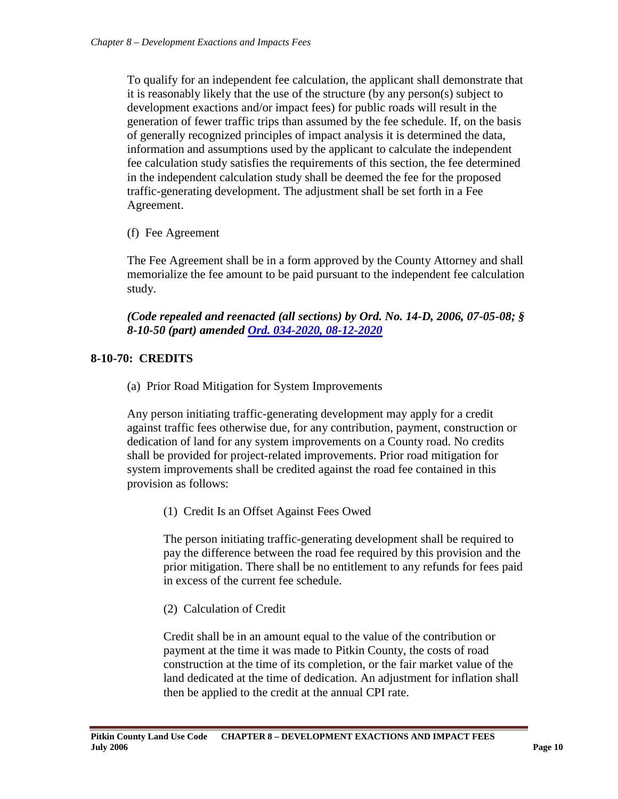To qualify for an independent fee calculation, the applicant shall demonstrate that it is reasonably likely that the use of the structure (by any person(s) subject to development exactions and/or impact fees) for public roads will result in the generation of fewer traffic trips than assumed by the fee schedule. If, on the basis of generally recognized principles of impact analysis it is determined the data, information and assumptions used by the applicant to calculate the independent fee calculation study satisfies the requirements of this section, the fee determined in the independent calculation study shall be deemed the fee for the proposed traffic-generating development. The adjustment shall be set forth in a Fee Agreement.

(f) Fee Agreement

The Fee Agreement shall be in a form approved by the County Attorney and shall memorialize the fee amount to be paid pursuant to the independent fee calculation study.

*(Code repealed and reenacted (all sections) by Ord. No. 14-D, 2006, 07-05-08; § 8-10-50 (part) amended [Ord. 034-2020, 08-12-2020](https://pitkincounty.com/DocumentCenter/View/26305/boccord0342020)*

# <span id="page-9-0"></span>**8-10-70: CREDITS**

(a) Prior Road Mitigation for System Improvements

Any person initiating traffic-generating development may apply for a credit against traffic fees otherwise due, for any contribution, payment, construction or dedication of land for any system improvements on a County road. No credits shall be provided for project-related improvements. Prior road mitigation for system improvements shall be credited against the road fee contained in this provision as follows:

(1) Credit Is an Offset Against Fees Owed

The person initiating traffic-generating development shall be required to pay the difference between the road fee required by this provision and the prior mitigation. There shall be no entitlement to any refunds for fees paid in excess of the current fee schedule.

(2) Calculation of Credit

Credit shall be in an amount equal to the value of the contribution or payment at the time it was made to Pitkin County, the costs of road construction at the time of its completion, or the fair market value of the land dedicated at the time of dedication. An adjustment for inflation shall then be applied to the credit at the annual CPI rate.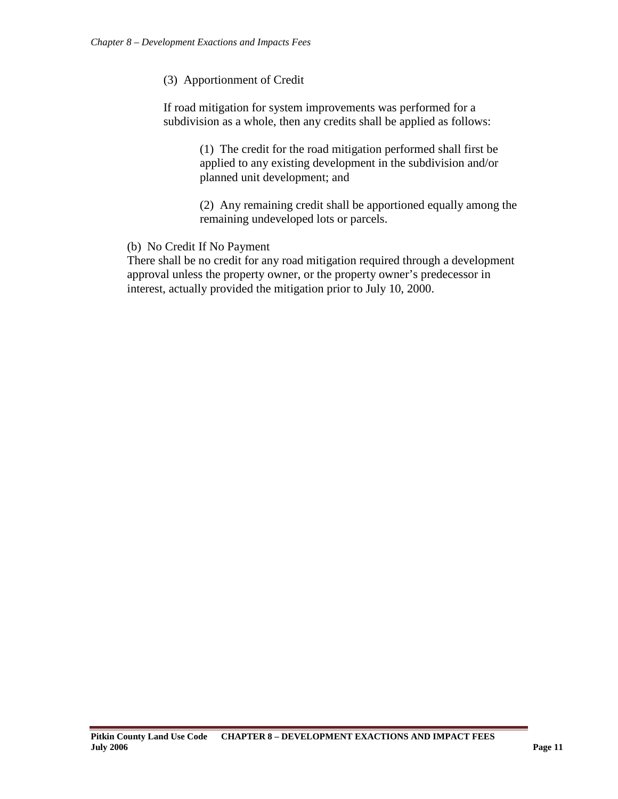#### (3) Apportionment of Credit

If road mitigation for system improvements was performed for a subdivision as a whole, then any credits shall be applied as follows:

> (1) The credit for the road mitigation performed shall first be applied to any existing development in the subdivision and/or planned unit development; and

(2) Any remaining credit shall be apportioned equally among the remaining undeveloped lots or parcels.

#### (b) No Credit If No Payment

There shall be no credit for any road mitigation required through a development approval unless the property owner, or the property owner's predecessor in interest, actually provided the mitigation prior to July 10, 2000.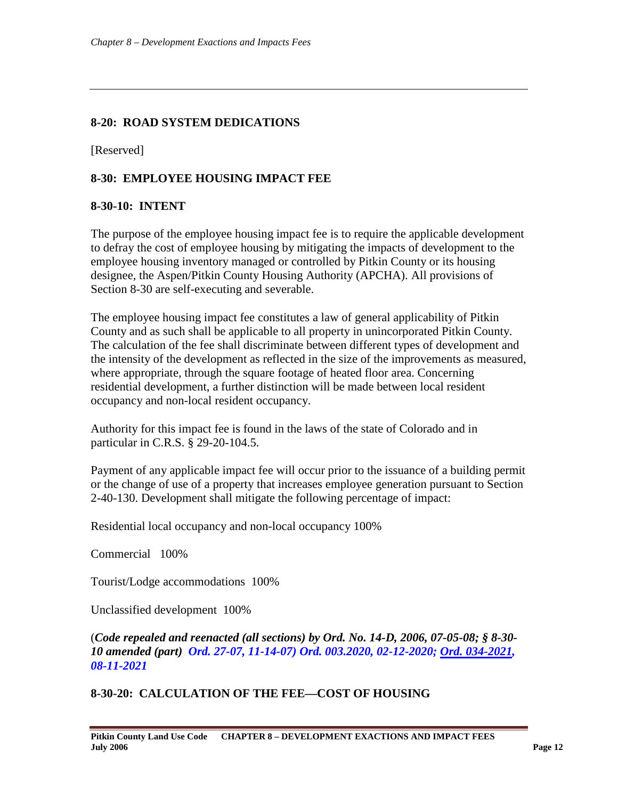### <span id="page-11-0"></span>**8-20: ROAD SYSTEM DEDICATIONS**

[Reserved]

# <span id="page-11-1"></span>**8-30: EMPLOYEE HOUSING IMPACT FEE**

#### <span id="page-11-2"></span>**8-30-10: INTENT**

The purpose of the employee housing impact fee is to require the applicable development to defray the cost of employee housing by mitigating the impacts of development to the employee housing inventory managed or controlled by Pitkin County or its housing designee, the Aspen/Pitkin County Housing Authority (APCHA). All provisions of Section 8-30 are self-executing and severable.

The employee housing impact fee constitutes a law of general applicability of Pitkin County and as such shall be applicable to all property in unincorporated Pitkin County. The calculation of the fee shall discriminate between different types of development and the intensity of the development as reflected in the size of the improvements as measured, where appropriate, through the square footage of heated floor area. Concerning residential development, a further distinction will be made between local resident occupancy and non-local resident occupancy.

Authority for this impact fee is found in the laws of the state of Colorado and in particular in C.R.S. § 29-20-104.5.

Payment of any applicable impact fee will occur prior to the issuance of a building permit or the change of use of a property that increases employee generation pursuant to Section 2-40-130. Development shall mitigate the following percentage of impact:

Residential local occupancy and non-local occupancy 100%

Commercial 100%

Tourist/Lodge accommodations 100%

Unclassified development 100%

(*Code repealed and reenacted (all sections) by Ord. No. 14-D, 2006, 07-05-08; § 8-30- 10 amended (part) Ord. 27-07, 11-14-07) Ord. 003.2020, 02-12-2020; [Ord. 034-2021,](https://pitkincounty.com/DocumentCenter/View/27883/boccord0342021) 08-11-2021*

# **8-30-20: CALCULATION OF THE FEE—COST OF HOUSING**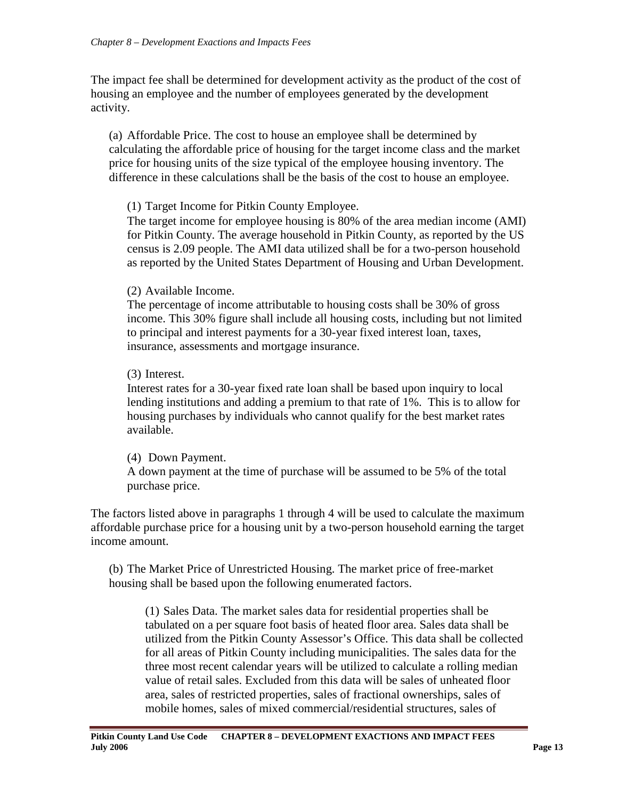The impact fee shall be determined for development activity as the product of the cost of housing an employee and the number of employees generated by the development activity.

(a) Affordable Price. The cost to house an employee shall be determined by calculating the affordable price of housing for the target income class and the market price for housing units of the size typical of the employee housing inventory. The difference in these calculations shall be the basis of the cost to house an employee.

# (1) Target Income for Pitkin County Employee.

The target income for employee housing is 80% of the area median income (AMI) for Pitkin County. The average household in Pitkin County, as reported by the US census is 2.09 people. The AMI data utilized shall be for a two-person household as reported by the United States Department of Housing and Urban Development.

# (2) Available Income.

The percentage of income attributable to housing costs shall be 30% of gross income. This 30% figure shall include all housing costs, including but not limited to principal and interest payments for a 30-year fixed interest loan, taxes, insurance, assessments and mortgage insurance.

# (3) Interest.

Interest rates for a 30-year fixed rate loan shall be based upon inquiry to local lending institutions and adding a premium to that rate of 1%. This is to allow for housing purchases by individuals who cannot qualify for the best market rates available.

# (4) Down Payment.

A down payment at the time of purchase will be assumed to be 5% of the total purchase price.

The factors listed above in paragraphs 1 through 4 will be used to calculate the maximum affordable purchase price for a housing unit by a two-person household earning the target income amount.

(b) The Market Price of Unrestricted Housing. The market price of free-market housing shall be based upon the following enumerated factors.

(1) Sales Data. The market sales data for residential properties shall be tabulated on a per square foot basis of heated floor area. Sales data shall be utilized from the Pitkin County Assessor's Office. This data shall be collected for all areas of Pitkin County including municipalities. The sales data for the three most recent calendar years will be utilized to calculate a rolling median value of retail sales. Excluded from this data will be sales of unheated floor area, sales of restricted properties, sales of fractional ownerships, sales of mobile homes, sales of mixed commercial/residential structures, sales of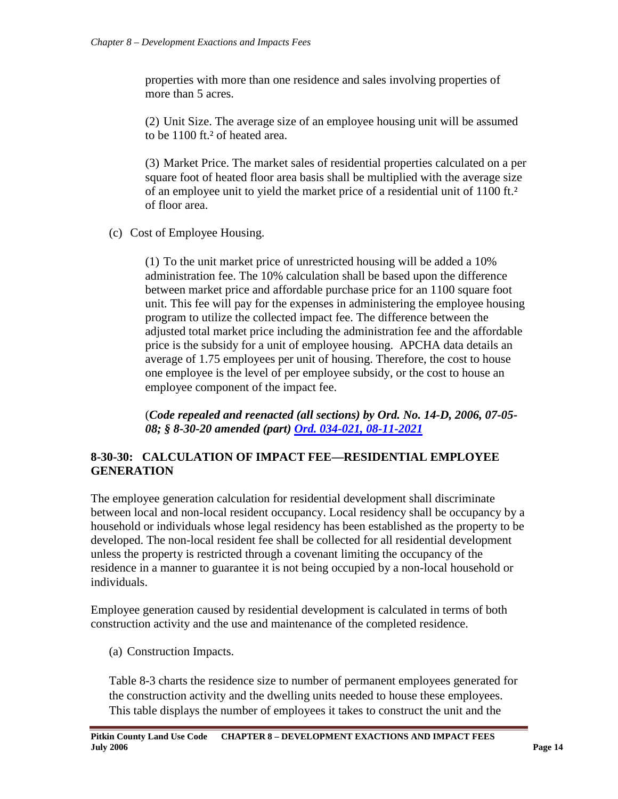properties with more than one residence and sales involving properties of more than 5 acres.

(2) Unit Size. The average size of an employee housing unit will be assumed to be 1100 ft.² of heated area.

(3) Market Price. The market sales of residential properties calculated on a per square foot of heated floor area basis shall be multiplied with the average size of an employee unit to yield the market price of a residential unit of 1100 ft.² of floor area.

(c) Cost of Employee Housing.

(1) To the unit market price of unrestricted housing will be added a 10% administration fee. The 10% calculation shall be based upon the difference between market price and affordable purchase price for an 1100 square foot unit. This fee will pay for the expenses in administering the employee housing program to utilize the collected impact fee. The difference between the adjusted total market price including the administration fee and the affordable price is the subsidy for a unit of employee housing. APCHA data details an average of 1.75 employees per unit of housing. Therefore, the cost to house one employee is the level of per employee subsidy, or the cost to house an employee component of the impact fee.

(*Code repealed and reenacted (all sections) by Ord. No. 14-D, 2006, 07-05- 08; § 8-30-20 amended (part) [Ord. 034-021, 08-11-2021](https://pitkincounty.com/DocumentCenter/View/27883/boccord0342021)*

# <span id="page-13-0"></span>**8-30-30: CALCULATION OF IMPACT FEE—RESIDENTIAL EMPLOYEE GENERATION**

The employee generation calculation for residential development shall discriminate between local and non-local resident occupancy. Local residency shall be occupancy by a household or individuals whose legal residency has been established as the property to be developed. The non-local resident fee shall be collected for all residential development unless the property is restricted through a covenant limiting the occupancy of the residence in a manner to guarantee it is not being occupied by a non-local household or individuals.

Employee generation caused by residential development is calculated in terms of both construction activity and the use and maintenance of the completed residence.

(a) Construction Impacts.

Table 8-3 charts the residence size to number of permanent employees generated for the construction activity and the dwelling units needed to house these employees. This table displays the number of employees it takes to construct the unit and the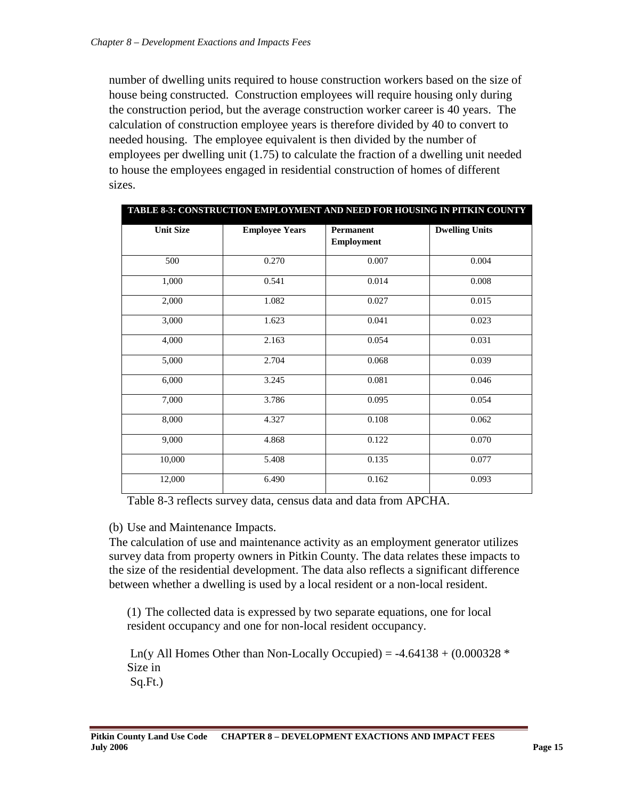number of dwelling units required to house construction workers based on the size of house being constructed. Construction employees will require housing only during the construction period, but the average construction worker career is 40 years. The calculation of construction employee years is therefore divided by 40 to convert to needed housing. The employee equivalent is then divided by the number of employees per dwelling unit (1.75) to calculate the fraction of a dwelling unit needed to house the employees engaged in residential construction of homes of different sizes.

**Table 13: Construction Employment and Need for Housing in Pitkin County**

| <b>Unit Size</b> | <b>Employee Years</b> | Permanent<br><b>Employment</b> | <b>Dwelling Units</b> |
|------------------|-----------------------|--------------------------------|-----------------------|
| 500              | 0.270                 | 0.007                          | 0.004                 |
| 1,000            | 0.541                 | 0.014                          | 0.008                 |
| 2,000            | 1.082                 | 0.027                          | 0.015                 |
| 3,000            | 1.623                 | 0.041                          | 0.023                 |
| 4,000            | 2.163                 | 0.054                          | 0.031                 |
| 5,000            | 2.704                 | 0.068                          | 0.039                 |
| 6,000            | 3.245                 | 0.081                          | 0.046                 |
| 7,000            | 3.786                 | 0.095                          | 0.054                 |
| 8,000            | 4.327                 | 0.108                          | 0.062                 |
| 9,000            | 4.868                 | 0.122                          | 0.070                 |
| 10,000           | 5.408                 | 0.135                          | 0.077                 |
| 12,000           | 6.490                 | 0.162                          | 0.093                 |

Table 8-3 reflects survey data, census data and data from APCHA.

# (b) Use and Maintenance Impacts.

The calculation of use and maintenance activity as an employment generator utilizes survey data from property owners in Pitkin County. The data relates these impacts to the size of the residential development. The data also reflects a significant difference between whether a dwelling is used by a local resident or a non-local resident.

(1) The collected data is expressed by two separate equations, one for local resident occupancy and one for non-local resident occupancy.

Ln(y All Homes Other than Non-Locally Occupied) =  $-4.64138 + (0.000328)^*$ Size in Sq.Ft.)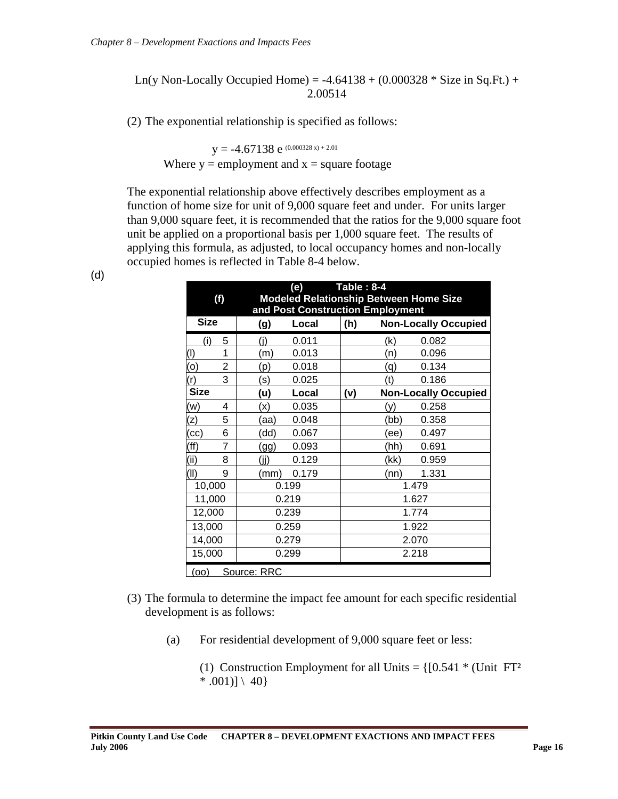Ln(y Non-Locally Occupied Home) =  $-4.64138 + (0.000328 * Size in Sq.Ft.) +$ 2.00514

(2) The exponential relationship is specified as follows:

 $y = -4.67138$  e (0.000328 x) + 2.01 Where  $y =$  employment and  $x =$  square footage

The exponential relationship above effectively describes employment as a function of home size for unit of 9,000 square feet and under. For units larger than 9,000 square feet, it is recommended that the ratios for the 9,000 square foot unit be applied on a proportional basis per 1,000 square feet. The results of applying this formula, as adjusted, to local occupancy homes and non-locally occupied homes is reflected in Table 8-4 below.

| (f)         |   |             | (e)   | <b>Table: 8-4</b> |                                  | <b>Modeled Relationship Between Home Size</b> |
|-------------|---|-------------|-------|-------------------|----------------------------------|-----------------------------------------------|
|             |   |             |       |                   | and Post Construction Employment |                                               |
| <b>Size</b> |   | (g)         | Local | (h)               |                                  | <b>Non-Locally Occupied</b>                   |
| (i)         | 5 | (i)         | 0.011 |                   | (k)                              | 0.082                                         |
| $($ l $)$   | 1 | (m)         | 0.013 |                   | (n)                              | 0.096                                         |
| (o)         | 2 | (p)         | 0.018 |                   | (q)                              | 0.134                                         |
| (r)         | 3 | (s)         | 0.025 |                   | (t)                              | 0.186                                         |
| <b>Size</b> |   | (u)         | Local | (v)               |                                  | <b>Non-Locally Occupied</b>                   |
| (w)         | 4 | (x)         | 0.035 |                   | (y)                              | 0.258                                         |
| (z)         | 5 | (aa)        | 0.048 |                   | (bb)                             | 0.358                                         |
| (cc)        | 6 | (dd)        | 0.067 |                   | (ee)                             | 0.497                                         |
| (ff)        | 7 | (gg)        | 0.093 |                   | (hh)                             | 0.691                                         |
| (i)         | 8 | (jj)        | 0.129 |                   | (kk)                             | 0.959                                         |
| (II)        | 9 | (mm)        | 0.179 |                   | (nn)                             | 1.331                                         |
| 10,000      |   |             | 0.199 |                   |                                  | 1.479                                         |
| 11,000      |   |             | 0.219 |                   |                                  | 1.627                                         |
| 12,000      |   |             | 0.239 |                   |                                  | 1.774                                         |
| 13,000      |   |             | 0.259 |                   |                                  | 1.922                                         |
| 14,000      |   |             | 0.279 |                   |                                  | 2.070                                         |
| 15,000      |   |             | 0.299 |                   |                                  | 2.218                                         |
| (00)        |   | Source: RRC |       |                   |                                  |                                               |

(d)

- (3) The formula to determine the impact fee amount for each specific residential development is as follows:
	- (a) For residential development of 9,000 square feet or less:
		- (1) Construction Employment for all Units =  $\{[0.541 * (Unit FT<sup>2</sup>$  $* .001$ ] \ 40}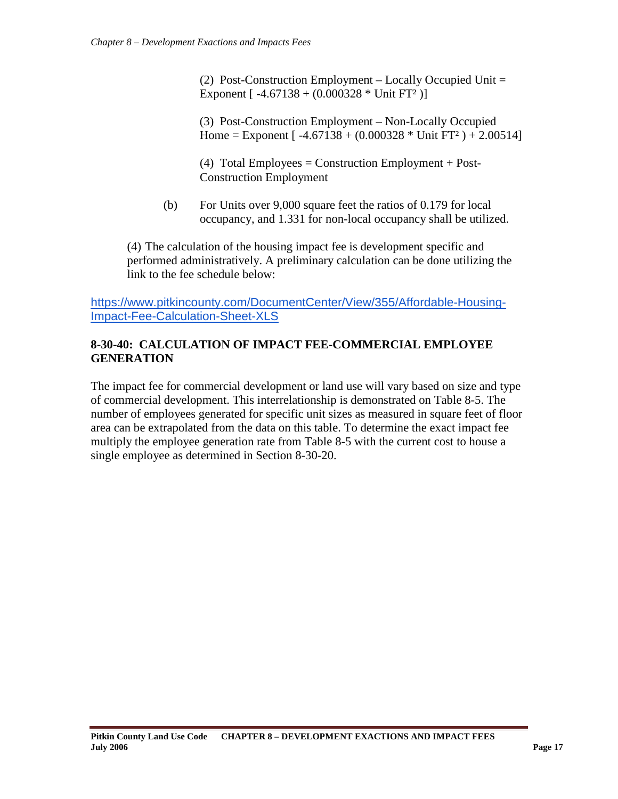(2) Post-Construction Employment – Locally Occupied Unit = Exponent  $[-4.67138 + (0.000328 * Unit FT<sup>2</sup>)]$ 

(3) Post-Construction Employment – Non-Locally Occupied Home = Exponent  $[-4.67138 + (0.000328 * Unit FT<sup>2</sup>) + 2.00514]$ 

(4) Total Employees = Construction Employment + Post-Construction Employment

(b) For Units over 9,000 square feet the ratios of 0.179 for local occupancy, and 1.331 for non-local occupancy shall be utilized.

(4) The calculation of the housing impact fee is development specific and performed administratively. A preliminary calculation can be done utilizing the link to the fee schedule below:

[https://www.pitkincounty.com/DocumentCenter/View/355/Affordable-Housing-](https://www.pitkincounty.com/DocumentCenter/View/355/Affordable-Housing-Impact-Fee-Calculation-Sheet-XLS)[Impact-Fee-Calculation-Sheet-XLS](https://www.pitkincounty.com/DocumentCenter/View/355/Affordable-Housing-Impact-Fee-Calculation-Sheet-XLS)

# **8-30-40: CALCULATION OF IMPACT FEE-COMMERCIAL EMPLOYEE GENERATION**

The impact fee for commercial development or land use will vary based on size and type of commercial development. This interrelationship is demonstrated on Table 8-5. The number of employees generated for specific unit sizes as measured in square feet of floor area can be extrapolated from the data on this table. To determine the exact impact fee multiply the employee generation rate from Table 8-5 with the current cost to house a single employee as determined in Section 8-30-20.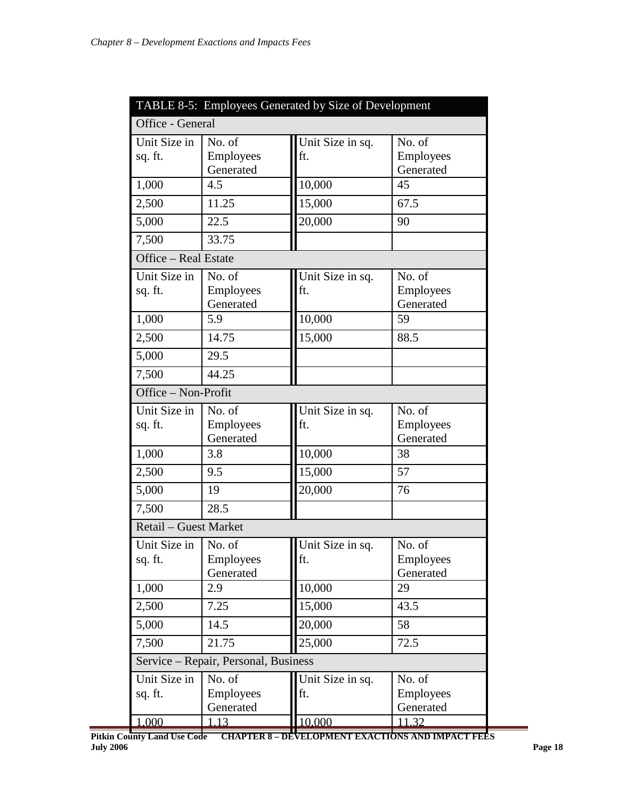| TABLE 8-5: Employees Generated by Size of Development |                                      |                         |                                         |  |
|-------------------------------------------------------|--------------------------------------|-------------------------|-----------------------------------------|--|
| Office - General                                      |                                      |                         |                                         |  |
| Unit Size in<br>sq. ft.                               | No. of<br>Employees<br>Generated     | Unit Size in sq.<br>ft. | No. of<br>Employees<br>Generated        |  |
| 1,000                                                 | 4.5                                  | 10,000                  | 45                                      |  |
| 2,500                                                 | 11.25                                | 15,000                  | 67.5                                    |  |
| 5,000                                                 | 22.5                                 | 20,000                  | 90                                      |  |
| 7,500                                                 | 33.75                                |                         |                                         |  |
| Office - Real Estate                                  |                                      |                         |                                         |  |
| Unit Size in<br>sq. ft.                               | No. of<br>Employees<br>Generated     | Unit Size in sq.<br>ft. | No. of<br>Employees<br>Generated        |  |
| 1,000                                                 | 5.9                                  | 10,000                  | 59                                      |  |
| 2,500                                                 | 14.75                                | 15,000                  | 88.5                                    |  |
| 5,000                                                 | 29.5                                 |                         |                                         |  |
| 7,500                                                 | 44.25                                |                         |                                         |  |
| Office - Non-Profit                                   |                                      |                         |                                         |  |
| Unit Size in<br>sq. ft.                               | No. of<br>Employees<br>Generated     | Unit Size in sq.<br>ft. | No. of<br>Employees<br>Generated        |  |
| 1,000                                                 | 3.8                                  | 10,000                  | 38                                      |  |
| 2,500                                                 | 9.5                                  | $\overline{15,000}$     | 57                                      |  |
| 5,000                                                 | 19                                   | 20,000                  | 76                                      |  |
| 7,500                                                 | 28.5                                 |                         |                                         |  |
| Retail - Guest Market                                 |                                      |                         |                                         |  |
| Unit Size in $\vert$ No. of<br>sq. ft.                | Employees<br>Generated               | Unit Size in sq.<br>ft. | No. of<br><b>Employees</b><br>Generated |  |
| 1,000                                                 | 2.9                                  | 10,000                  | 29                                      |  |
| 2,500                                                 | 7.25                                 | 15,000                  | 43.5                                    |  |
| 5,000                                                 | 14.5                                 | 20,000                  | 58                                      |  |
| 7,500                                                 | 21.75                                | 25,000                  | 72.5                                    |  |
|                                                       | Service – Repair, Personal, Business |                         |                                         |  |
| Unit Size in<br>sq. ft.                               | No. of<br>Employees<br>Generated     | Unit Size in sq.<br>ft. | No. of<br>Employees<br>Generated        |  |
| 1,000                                                 | 1.13                                 | 10,000                  | 11.32                                   |  |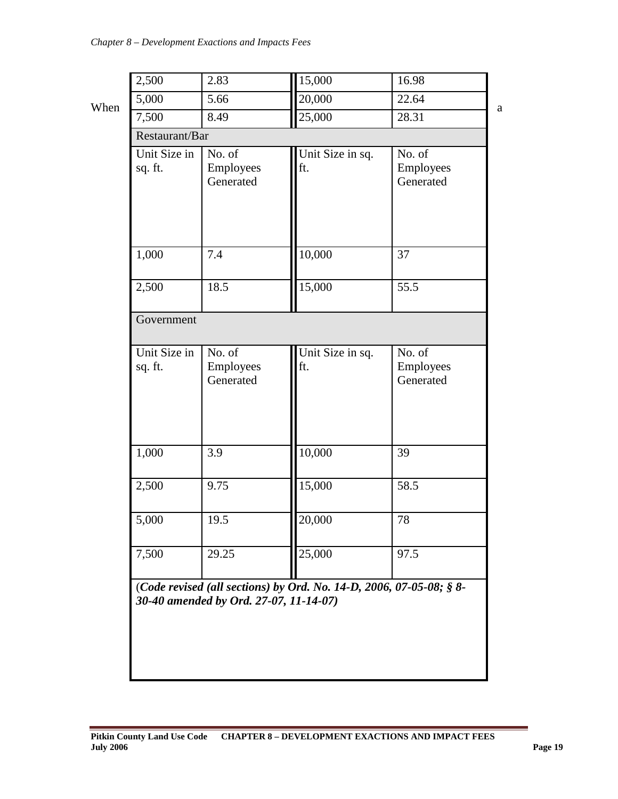|                         | 2.83                             | 15,000                  | 16.98                            |
|-------------------------|----------------------------------|-------------------------|----------------------------------|
| 5,000                   | 5.66                             | 20,000                  | 22.64                            |
| 7,500                   | 8.49                             | 25,000                  | 28.31                            |
| Restaurant/Bar          |                                  |                         |                                  |
| Unit Size in<br>sq. ft. | No. of<br>Employees<br>Generated | Unit Size in sq.<br>ft. | No. of<br>Employees<br>Generated |
| 1,000                   | 7.4                              | 10,000                  | 37                               |
| 2,500                   | 18.5                             | 15,000                  | 55.5                             |
| Government              |                                  |                         |                                  |
| Unit Size in            | No. of                           | Unit Size in sq.        | No. of                           |
| sq. ft.                 | Employees<br>Generated           | ft.                     | Employees<br>Generated           |
| 1,000                   | 3.9                              | 10,000                  | 39                               |
| 2,500                   | 9.75                             | 15,000                  | 58.5                             |
| 5,000                   | 19.5                             | 20,000                  | 78                               |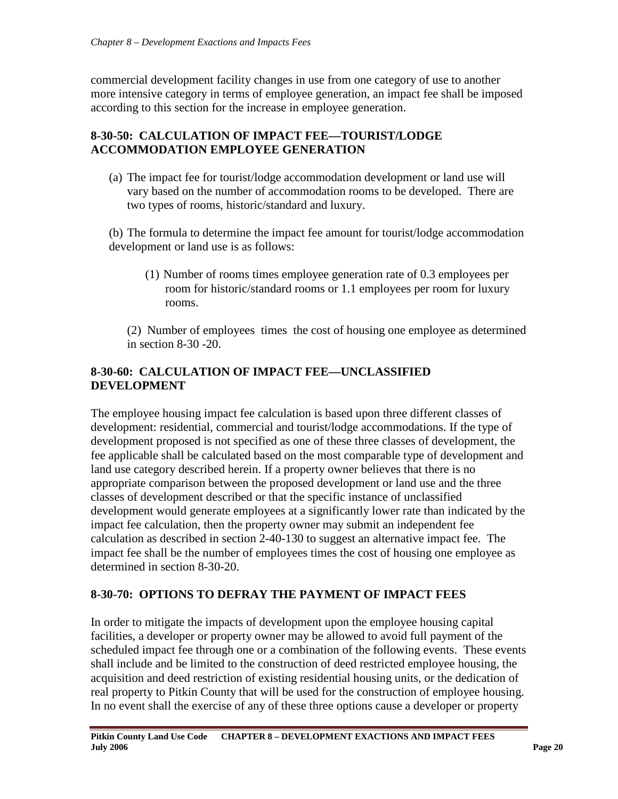commercial development facility changes in use from one category of use to another more intensive category in terms of employee generation, an impact fee shall be imposed according to this section for the increase in employee generation.

# <span id="page-19-0"></span>**8-30-50: CALCULATION OF IMPACT FEE—TOURIST/LODGE ACCOMMODATION EMPLOYEE GENERATION**

(a) The impact fee for tourist/lodge accommodation development or land use will vary based on the number of accommodation rooms to be developed. There are two types of rooms, historic/standard and luxury.

(b) The formula to determine the impact fee amount for tourist/lodge accommodation development or land use is as follows:

(1) Number of rooms times employee generation rate of 0.3 employees per room for historic/standard rooms or 1.1 employees per room for luxury rooms.

(2) Number of employees times the cost of housing one employee as determined in section 8-30 -20.

# <span id="page-19-1"></span>**8-30-60: CALCULATION OF IMPACT FEE—UNCLASSIFIED DEVELOPMENT**

The employee housing impact fee calculation is based upon three different classes of development: residential, commercial and tourist/lodge accommodations. If the type of development proposed is not specified as one of these three classes of development, the fee applicable shall be calculated based on the most comparable type of development and land use category described herein. If a property owner believes that there is no appropriate comparison between the proposed development or land use and the three classes of development described or that the specific instance of unclassified development would generate employees at a significantly lower rate than indicated by the impact fee calculation, then the property owner may submit an independent fee calculation as described in section 2-40-130 to suggest an alternative impact fee. The impact fee shall be the number of employees times the cost of housing one employee as determined in section 8-30-20.

# <span id="page-19-2"></span>**8-30-70: OPTIONS TO DEFRAY THE PAYMENT OF IMPACT FEES**

In order to mitigate the impacts of development upon the employee housing capital facilities, a developer or property owner may be allowed to avoid full payment of the scheduled impact fee through one or a combination of the following events. These events shall include and be limited to the construction of deed restricted employee housing, the acquisition and deed restriction of existing residential housing units, or the dedication of real property to Pitkin County that will be used for the construction of employee housing. In no event shall the exercise of any of these three options cause a developer or property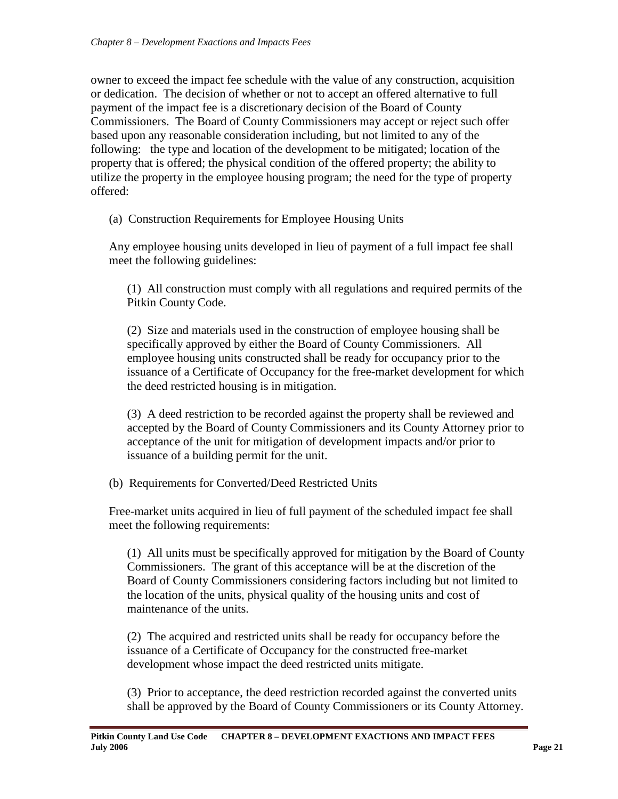owner to exceed the impact fee schedule with the value of any construction, acquisition or dedication. The decision of whether or not to accept an offered alternative to full payment of the impact fee is a discretionary decision of the Board of County Commissioners. The Board of County Commissioners may accept or reject such offer based upon any reasonable consideration including, but not limited to any of the following: the type and location of the development to be mitigated; location of the property that is offered; the physical condition of the offered property; the ability to utilize the property in the employee housing program; the need for the type of property offered:

(a) Construction Requirements for Employee Housing Units

Any employee housing units developed in lieu of payment of a full impact fee shall meet the following guidelines:

(1) All construction must comply with all regulations and required permits of the Pitkin County Code.

(2) Size and materials used in the construction of employee housing shall be specifically approved by either the Board of County Commissioners. All employee housing units constructed shall be ready for occupancy prior to the issuance of a Certificate of Occupancy for the free-market development for which the deed restricted housing is in mitigation.

(3) A deed restriction to be recorded against the property shall be reviewed and accepted by the Board of County Commissioners and its County Attorney prior to acceptance of the unit for mitigation of development impacts and/or prior to issuance of a building permit for the unit.

(b) Requirements for Converted/Deed Restricted Units

Free-market units acquired in lieu of full payment of the scheduled impact fee shall meet the following requirements:

(1) All units must be specifically approved for mitigation by the Board of County Commissioners. The grant of this acceptance will be at the discretion of the Board of County Commissioners considering factors including but not limited to the location of the units, physical quality of the housing units and cost of maintenance of the units.

(2) The acquired and restricted units shall be ready for occupancy before the issuance of a Certificate of Occupancy for the constructed free-market development whose impact the deed restricted units mitigate.

(3) Prior to acceptance, the deed restriction recorded against the converted units shall be approved by the Board of County Commissioners or its County Attorney.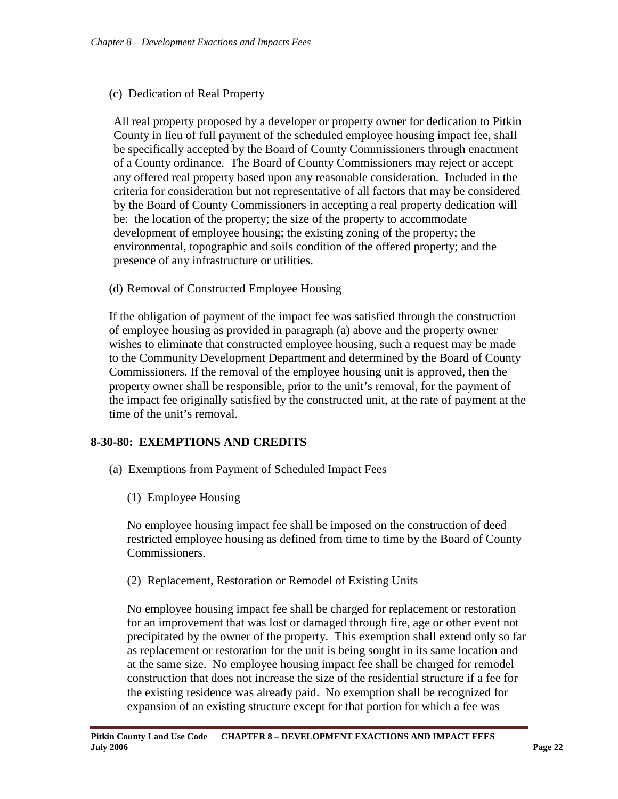#### (c) Dedication of Real Property

All real property proposed by a developer or property owner for dedication to Pitkin County in lieu of full payment of the scheduled employee housing impact fee, shall be specifically accepted by the Board of County Commissioners through enactment of a County ordinance. The Board of County Commissioners may reject or accept any offered real property based upon any reasonable consideration. Included in the criteria for consideration but not representative of all factors that may be considered by the Board of County Commissioners in accepting a real property dedication will be: the location of the property; the size of the property to accommodate development of employee housing; the existing zoning of the property; the environmental, topographic and soils condition of the offered property; and the presence of any infrastructure or utilities.

#### (d) Removal of Constructed Employee Housing

If the obligation of payment of the impact fee was satisfied through the construction of employee housing as provided in paragraph (a) above and the property owner wishes to eliminate that constructed employee housing, such a request may be made to the Community Development Department and determined by the Board of County Commissioners. If the removal of the employee housing unit is approved, then the property owner shall be responsible, prior to the unit's removal, for the payment of the impact fee originally satisfied by the constructed unit, at the rate of payment at the time of the unit's removal.

# <span id="page-21-0"></span>**8-30-80: EXEMPTIONS AND CREDITS**

- (a) Exemptions from Payment of Scheduled Impact Fees
	- (1) Employee Housing

No employee housing impact fee shall be imposed on the construction of deed restricted employee housing as defined from time to time by the Board of County Commissioners.

(2) Replacement, Restoration or Remodel of Existing Units

No employee housing impact fee shall be charged for replacement or restoration for an improvement that was lost or damaged through fire, age or other event not precipitated by the owner of the property. This exemption shall extend only so far as replacement or restoration for the unit is being sought in its same location and at the same size. No employee housing impact fee shall be charged for remodel construction that does not increase the size of the residential structure if a fee for the existing residence was already paid. No exemption shall be recognized for expansion of an existing structure except for that portion for which a fee was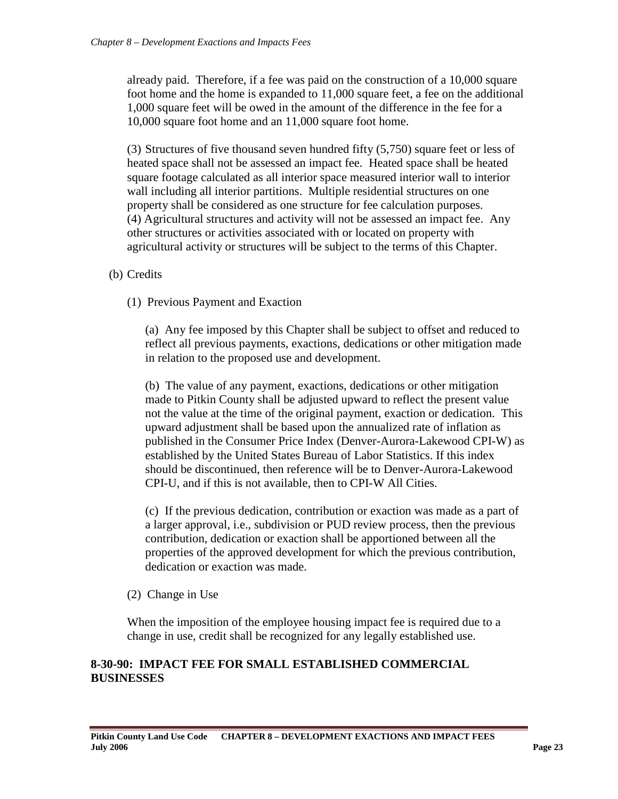already paid. Therefore, if a fee was paid on the construction of a 10,000 square foot home and the home is expanded to 11,000 square feet, a fee on the additional 1,000 square feet will be owed in the amount of the difference in the fee for a 10,000 square foot home and an 11,000 square foot home.

(3) Structures of five thousand seven hundred fifty (5,750) square feet or less of heated space shall not be assessed an impact fee. Heated space shall be heated square footage calculated as all interior space measured interior wall to interior wall including all interior partitions. Multiple residential structures on one property shall be considered as one structure for fee calculation purposes. (4) Agricultural structures and activity will not be assessed an impact fee. Any other structures or activities associated with or located on property with agricultural activity or structures will be subject to the terms of this Chapter.

- (b) Credits
	- (1) Previous Payment and Exaction

(a) Any fee imposed by this Chapter shall be subject to offset and reduced to reflect all previous payments, exactions, dedications or other mitigation made in relation to the proposed use and development.

(b) The value of any payment, exactions, dedications or other mitigation made to Pitkin County shall be adjusted upward to reflect the present value not the value at the time of the original payment, exaction or dedication. This upward adjustment shall be based upon the annualized rate of inflation as published in the Consumer Price Index (Denver-Aurora-Lakewood CPI-W) as established by the United States Bureau of Labor Statistics. If this index should be discontinued, then reference will be to Denver-Aurora-Lakewood CPI-U, and if this is not available, then to CPI-W All Cities.

(c) If the previous dedication, contribution or exaction was made as a part of a larger approval, i.e., subdivision or PUD review process, then the previous contribution, dedication or exaction shall be apportioned between all the properties of the approved development for which the previous contribution, dedication or exaction was made.

(2) Change in Use

When the imposition of the employee housing impact fee is required due to a change in use, credit shall be recognized for any legally established use.

#### **8-30-90: IMPACT FEE FOR SMALL ESTABLISHED COMMERCIAL BUSINESSES**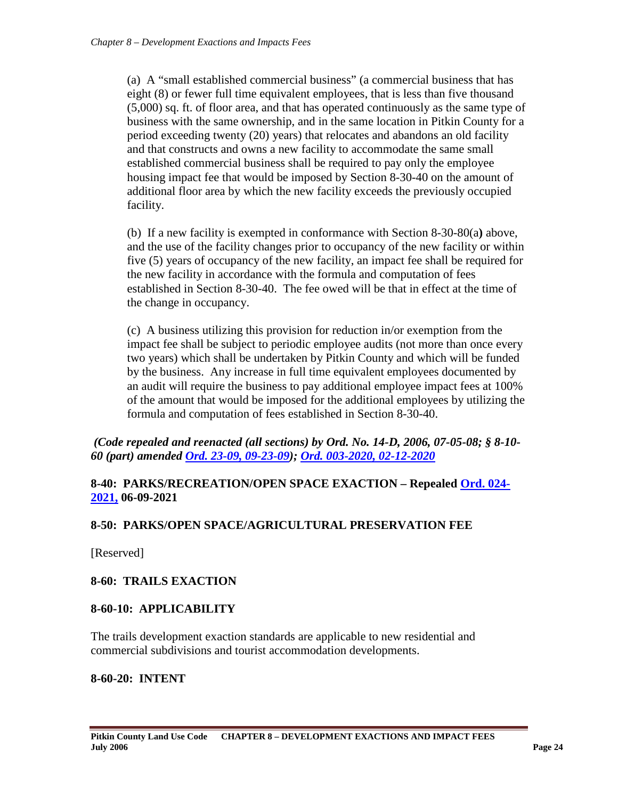(a) A "small established commercial business" (a commercial business that has eight (8) or fewer full time equivalent employees, that is less than five thousand (5,000) sq. ft. of floor area, and that has operated continuously as the same type of business with the same ownership, and in the same location in Pitkin County for a period exceeding twenty (20) years) that relocates and abandons an old facility and that constructs and owns a new facility to accommodate the same small established commercial business shall be required to pay only the employee housing impact fee that would be imposed by Section 8-30-40 on the amount of additional floor area by which the new facility exceeds the previously occupied facility.

(b) If a new facility is exempted in conformance with Section 8-30-80(a**)** above, and the use of the facility changes prior to occupancy of the new facility or within five (5) years of occupancy of the new facility, an impact fee shall be required for the new facility in accordance with the formula and computation of fees established in Section 8-30-40. The fee owed will be that in effect at the time of the change in occupancy.

(c) A business utilizing this provision for reduction in/or exemption from the impact fee shall be subject to periodic employee audits (not more than once every two years) which shall be undertaken by Pitkin County and which will be funded by the business. Any increase in full time equivalent employees documented by an audit will require the business to pay additional employee impact fees at 100% of the amount that would be imposed for the additional employees by utilizing the formula and computation of fees established in Section 8-30-40.

*(Code repealed and reenacted (all sections) by Ord. No. 14-D, 2006, 07-05-08; § 8-10- 60 (part) amended [Ord. 23-09, 09-23-09\)](http://www.aspenpitkin.com/Portals/0/docs/county/countycode/ordinances/bocc.ord.023-2009.pdf); [Ord. 003-2020, 02-12-2020](https://pitkincounty.com/DocumentCenter/View/22017/boccord0032020)*

# <span id="page-23-0"></span>**8-40: PARKS/RECREATION/OPEN SPACE EXACTION – Repealed [Ord. 024-](https://pitkincounty.com/DocumentCenter/View/27850/boccord0242021) [2021,](https://pitkincounty.com/DocumentCenter/View/27850/boccord0242021) 06-09-2021**

# <span id="page-23-1"></span>**8-50: PARKS/OPEN SPACE/AGRICULTURAL PRESERVATION FEE**

[Reserved]

# <span id="page-23-2"></span>**8-60: TRAILS EXACTION**

#### <span id="page-23-3"></span>**8-60-10: APPLICABILITY**

The trails development exaction standards are applicable to new residential and commercial subdivisions and tourist accommodation developments.

#### <span id="page-23-4"></span>**8-60-20: INTENT**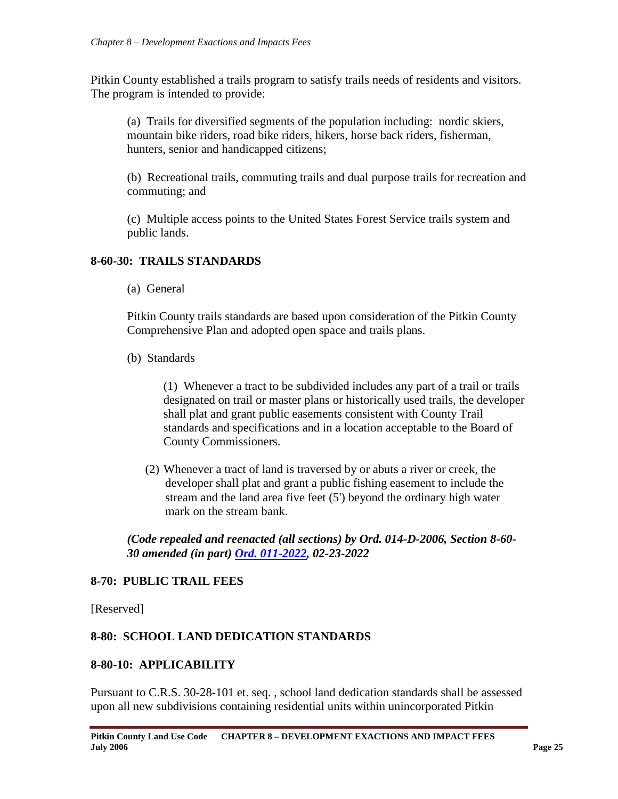Pitkin County established a trails program to satisfy trails needs of residents and visitors. The program is intended to provide:

(a) Trails for diversified segments of the population including: nordic skiers, mountain bike riders, road bike riders, hikers, horse back riders, fisherman, hunters, senior and handicapped citizens;

(b) Recreational trails, commuting trails and dual purpose trails for recreation and commuting; and

(c) Multiple access points to the United States Forest Service trails system and public lands.

# <span id="page-24-0"></span>**8-60-30: TRAILS STANDARDS**

(a) General

Pitkin County trails standards are based upon consideration of the Pitkin County Comprehensive Plan and adopted open space and trails plans.

(b) Standards

(1) Whenever a tract to be subdivided includes any part of a trail or trails designated on trail or master plans or historically used trails, the developer shall plat and grant public easements consistent with County Trail standards and specifications and in a location acceptable to the Board of County Commissioners.

(2) Whenever a tract of land is traversed by or abuts a river or creek, the developer shall plat and grant a public fishing easement to include the stream and the land area five feet (5') beyond the ordinary high water mark on the stream bank.

*(Code repealed and reenacted (all sections) by Ord. 014-D-2006, Section 8-60- 30 amended (in part) [Ord. 011-2022,](https://pitkincounty.com/DocumentCenter/View/28808/boccord0112022-recorded) 02-23-2022*

# <span id="page-24-1"></span>**8-70: PUBLIC TRAIL FEES**

[Reserved]

# <span id="page-24-2"></span>**8-80: SCHOOL LAND DEDICATION STANDARDS**

#### <span id="page-24-3"></span>**8-80-10: APPLICABILITY**

Pursuant to C.R.S. 30-28-101 et. seq. , school land dedication standards shall be assessed upon all new subdivisions containing residential units within unincorporated Pitkin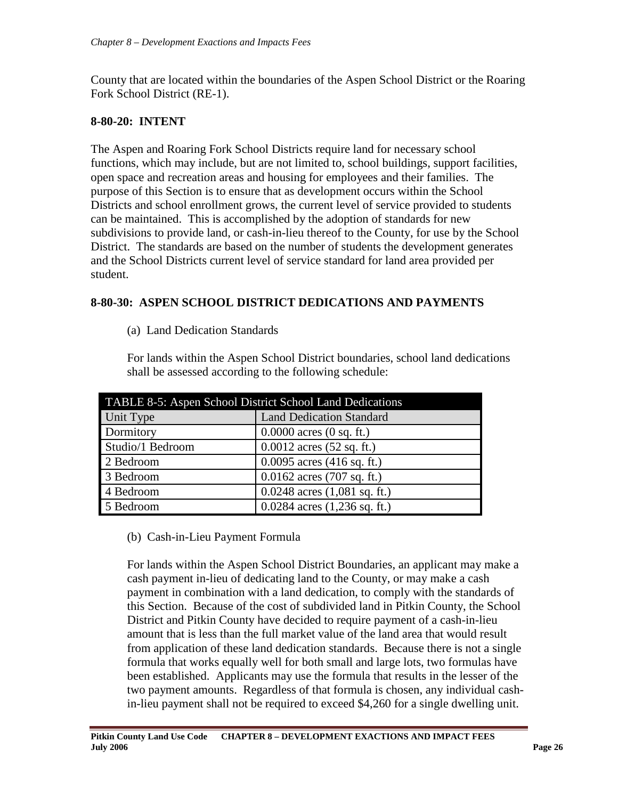County that are located within the boundaries of the Aspen School District or the Roaring Fork School District (RE-1).

# <span id="page-25-0"></span>**8-80-20: INTENT**

The Aspen and Roaring Fork School Districts require land for necessary school functions, which may include, but are not limited to, school buildings, support facilities, open space and recreation areas and housing for employees and their families. The purpose of this Section is to ensure that as development occurs within the School Districts and school enrollment grows, the current level of service provided to students can be maintained. This is accomplished by the adoption of standards for new subdivisions to provide land, or cash-in-lieu thereof to the County, for use by the School District. The standards are based on the number of students the development generates and the School Districts current level of service standard for land area provided per student.

# <span id="page-25-1"></span>**8-80-30: ASPEN SCHOOL DISTRICT DEDICATIONS AND PAYMENTS**

(a) Land Dedication Standards

For lands within the Aspen School District boundaries, school land dedications shall be assessed according to the following schedule:

| TABLE 8-5: Aspen School District School Land Dedications |                                      |  |  |  |
|----------------------------------------------------------|--------------------------------------|--|--|--|
| Unit Type                                                | <b>Land Dedication Standard</b>      |  |  |  |
| Dormitory                                                | $0.0000$ acres $(0 \text{ sq. ft.})$ |  |  |  |
| Studio/1 Bedroom                                         | $0.0012$ acres $(52$ sq. ft.)        |  |  |  |
| 2 Bedroom                                                | $0.0095$ acres (416 sq. ft.)         |  |  |  |
| 3 Bedroom                                                | $0.0162$ acres (707 sq. ft.)         |  |  |  |
| 4 Bedroom                                                | $0.0248$ acres $(1,081$ sq. ft.)     |  |  |  |
| 5 Bedroom                                                | $0.0284$ acres $(1,236$ sq. ft.)     |  |  |  |

# (b) Cash-in-Lieu Payment Formula

For lands within the Aspen School District Boundaries, an applicant may make a cash payment in-lieu of dedicating land to the County, or may make a cash payment in combination with a land dedication, to comply with the standards of this Section. Because of the cost of subdivided land in Pitkin County, the School District and Pitkin County have decided to require payment of a cash-in-lieu amount that is less than the full market value of the land area that would result from application of these land dedication standards. Because there is not a single formula that works equally well for both small and large lots, two formulas have been established. Applicants may use the formula that results in the lesser of the two payment amounts. Regardless of that formula is chosen, any individual cashin-lieu payment shall not be required to exceed \$4,260 for a single dwelling unit.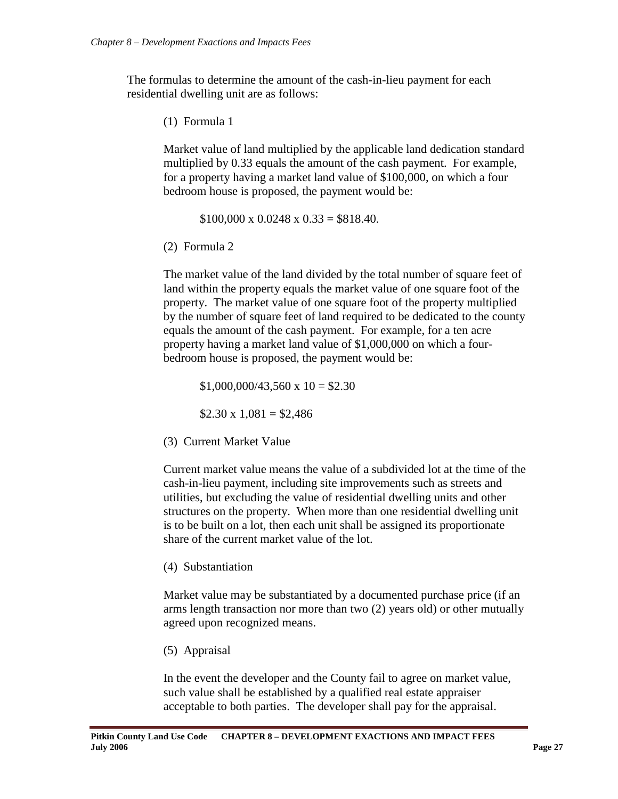The formulas to determine the amount of the cash-in-lieu payment for each residential dwelling unit are as follows:

(1) Formula 1

Market value of land multiplied by the applicable land dedication standard multiplied by 0.33 equals the amount of the cash payment. For example, for a property having a market land value of \$100,000, on which a four bedroom house is proposed, the payment would be:

 $$100,000 \times 0.0248 \times 0.33 = $818.40.$ 

(2) Formula 2

The market value of the land divided by the total number of square feet of land within the property equals the market value of one square foot of the property. The market value of one square foot of the property multiplied by the number of square feet of land required to be dedicated to the county equals the amount of the cash payment. For example, for a ten acre property having a market land value of \$1,000,000 on which a fourbedroom house is proposed, the payment would be:

 $$1,000,000/43,560 \times 10 = $2.30$ 

 $$2.30 \times 1.081 = $2.486$ 

(3) Current Market Value

Current market value means the value of a subdivided lot at the time of the cash-in-lieu payment, including site improvements such as streets and utilities, but excluding the value of residential dwelling units and other structures on the property. When more than one residential dwelling unit is to be built on a lot, then each unit shall be assigned its proportionate share of the current market value of the lot.

(4) Substantiation

Market value may be substantiated by a documented purchase price (if an arms length transaction nor more than two (2) years old) or other mutually agreed upon recognized means.

(5) Appraisal

In the event the developer and the County fail to agree on market value, such value shall be established by a qualified real estate appraiser acceptable to both parties. The developer shall pay for the appraisal.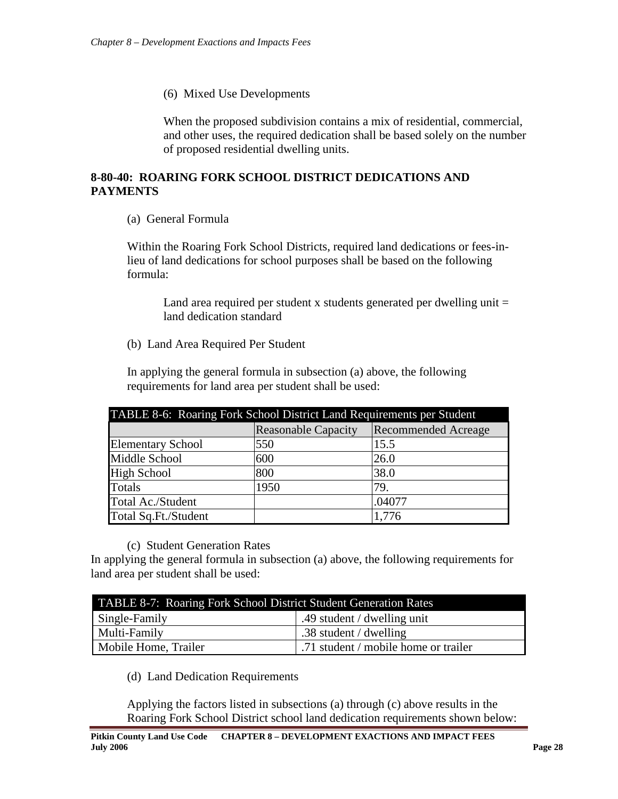(6) Mixed Use Developments

When the proposed subdivision contains a mix of residential, commercial, and other uses, the required dedication shall be based solely on the number of proposed residential dwelling units.

# <span id="page-27-0"></span>**8-80-40: ROARING FORK SCHOOL DISTRICT DEDICATIONS AND PAYMENTS**

(a) General Formula

Within the Roaring Fork School Districts, required land dedications or fees-inlieu of land dedications for school purposes shall be based on the following formula:

Land area required per student x students generated per dwelling unit  $=$ land dedication standard

(b) Land Area Required Per Student

In applying the general formula in subsection (a) above, the following requirements for land area per student shall be used:

| TABLE 8-6: Roaring Fork School District Land Requirements per Student |                            |                            |  |  |
|-----------------------------------------------------------------------|----------------------------|----------------------------|--|--|
|                                                                       | <b>Reasonable Capacity</b> | <b>Recommended Acreage</b> |  |  |
| <b>Elementary School</b>                                              | 550                        | 15.5                       |  |  |
| Middle School                                                         | 600                        | 26.0                       |  |  |
| <b>High School</b>                                                    | 800                        | 38.0                       |  |  |
| Totals                                                                | 1950                       | 79.                        |  |  |
| Total Ac./Student                                                     |                            | .04077                     |  |  |
| Total Sq.Ft./Student                                                  |                            | 1,776                      |  |  |

#### (c) Student Generation Rates

In applying the general formula in subsection (a) above, the following requirements for land area per student shall be used:

| TABLE 8-7: Roaring Fork School District Student Generation Rates |                                      |  |  |
|------------------------------------------------------------------|--------------------------------------|--|--|
| Single-Family<br>.49 student / dwelling unit                     |                                      |  |  |
| Multi-Family<br>.38 student / dwelling                           |                                      |  |  |
| Mobile Home, Trailer                                             | .71 student / mobile home or trailer |  |  |

# (d) Land Dedication Requirements

Applying the factors listed in subsections (a) through (c) above results in the Roaring Fork School District school land dedication requirements shown below: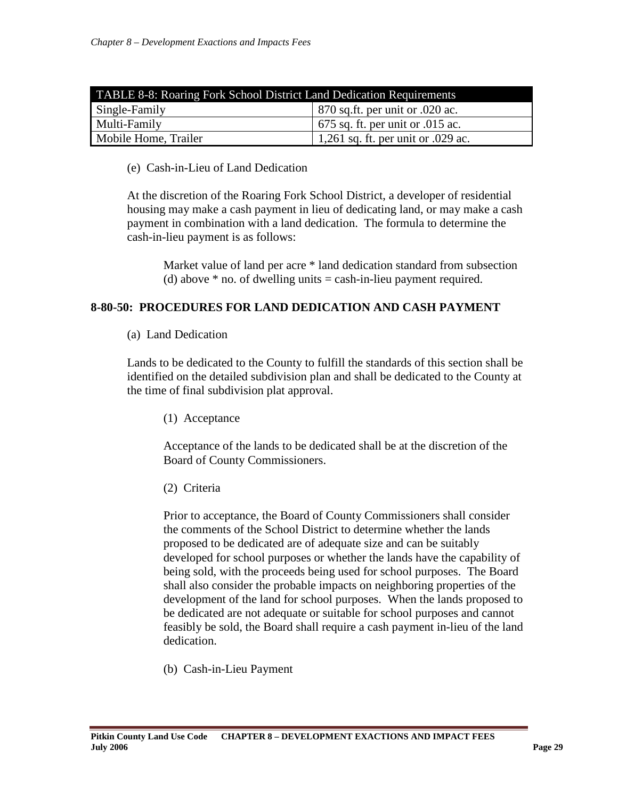| <b>TABLE 8-8: Roaring Fork School District Land Dedication Requirements</b> |                                      |  |  |
|-----------------------------------------------------------------------------|--------------------------------------|--|--|
| $\vert$ 870 sq.ft. per unit or 0.020 ac.<br>Single-Family                   |                                      |  |  |
| Multi-Family<br>$\vert$ 675 sq. ft. per unit or 0.015 ac.                   |                                      |  |  |
| Mobile Home, Trailer                                                        | $1,261$ sq. ft. per unit or .029 ac. |  |  |

(e) Cash-in-Lieu of Land Dedication

At the discretion of the Roaring Fork School District, a developer of residential housing may make a cash payment in lieu of dedicating land, or may make a cash payment in combination with a land dedication. The formula to determine the cash-in-lieu payment is as follows:

Market value of land per acre \* land dedication standard from subsection (d) above  $*$  no. of dwelling units  $=$  cash-in-lieu payment required.

#### <span id="page-28-0"></span>**8-80-50: PROCEDURES FOR LAND DEDICATION AND CASH PAYMENT**

#### (a) Land Dedication

Lands to be dedicated to the County to fulfill the standards of this section shall be identified on the detailed subdivision plan and shall be dedicated to the County at the time of final subdivision plat approval.

(1) Acceptance

Acceptance of the lands to be dedicated shall be at the discretion of the Board of County Commissioners.

(2) Criteria

Prior to acceptance, the Board of County Commissioners shall consider the comments of the School District to determine whether the lands proposed to be dedicated are of adequate size and can be suitably developed for school purposes or whether the lands have the capability of being sold, with the proceeds being used for school purposes. The Board shall also consider the probable impacts on neighboring properties of the development of the land for school purposes. When the lands proposed to be dedicated are not adequate or suitable for school purposes and cannot feasibly be sold, the Board shall require a cash payment in-lieu of the land dedication.

(b) Cash-in-Lieu Payment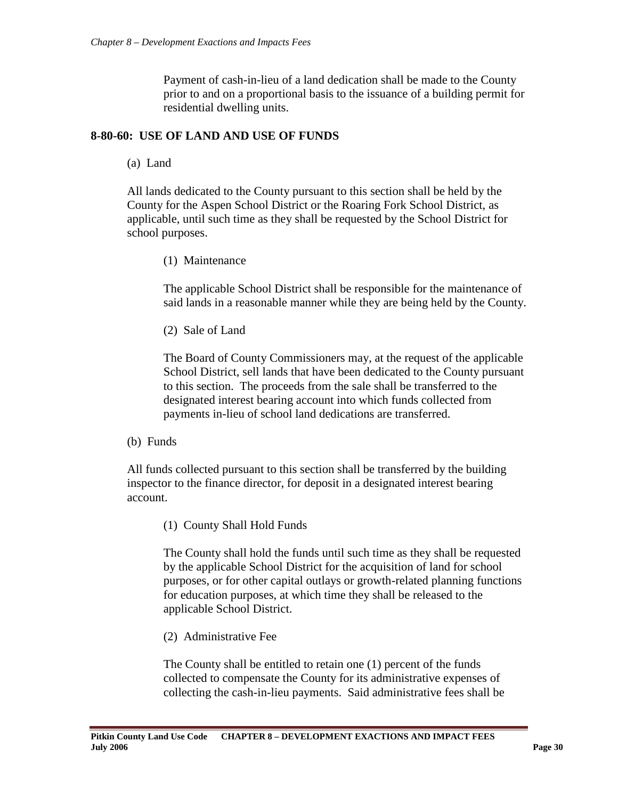Payment of cash-in-lieu of a land dedication shall be made to the County prior to and on a proportional basis to the issuance of a building permit for residential dwelling units.

#### <span id="page-29-0"></span>**8-80-60: USE OF LAND AND USE OF FUNDS**

(a) Land

All lands dedicated to the County pursuant to this section shall be held by the County for the Aspen School District or the Roaring Fork School District, as applicable, until such time as they shall be requested by the School District for school purposes.

(1) Maintenance

The applicable School District shall be responsible for the maintenance of said lands in a reasonable manner while they are being held by the County.

(2) Sale of Land

The Board of County Commissioners may, at the request of the applicable School District, sell lands that have been dedicated to the County pursuant to this section. The proceeds from the sale shall be transferred to the designated interest bearing account into which funds collected from payments in-lieu of school land dedications are transferred.

(b) Funds

All funds collected pursuant to this section shall be transferred by the building inspector to the finance director, for deposit in a designated interest bearing account.

(1) County Shall Hold Funds

The County shall hold the funds until such time as they shall be requested by the applicable School District for the acquisition of land for school purposes, or for other capital outlays or growth-related planning functions for education purposes, at which time they shall be released to the applicable School District.

(2) Administrative Fee

The County shall be entitled to retain one (1) percent of the funds collected to compensate the County for its administrative expenses of collecting the cash-in-lieu payments. Said administrative fees shall be